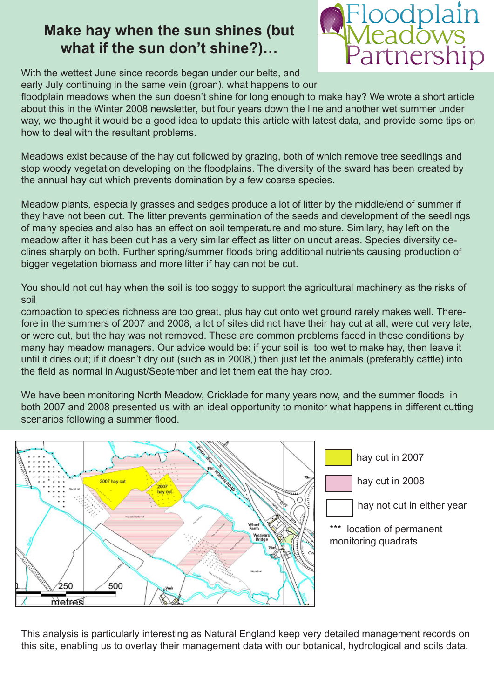## **Make hay when the sun shines (but what if the sun don't shine?)…**



With the wettest June since records began under our belts, and early July continuing in the same vein (groan), what happens to our

floodplain meadows when the sun doesn't shine for long enough to make hay? We wrote a short article about this in the Winter 2008 newsletter, but four years down the line and another wet summer under way, we thought it would be a good idea to update this article with latest data, and provide some tips on how to deal with the resultant problems.

Meadows exist because of the hay cut followed by grazing, both of which remove tree seedlings and stop woody vegetation developing on the floodplains. The diversity of the sward has been created by the annual hay cut which prevents domination by a few coarse species.

Meadow plants, especially grasses and sedges produce a lot of litter by the middle/end of summer if they have not been cut. The litter prevents germination of the seeds and development of the seedlings of many species and also has an effect on soil temperature and moisture. Similary, hay left on the meadow after it has been cut has a very similar effect as litter on uncut areas. Species diversity declines sharply on both. Further spring/summer floods bring additional nutrients causing production of bigger vegetation biomass and more litter if hay can not be cut.

You should not cut hay when the soil is too soggy to support the agricultural machinery as the risks of soil

compaction to species richness are too great, plus hay cut onto wet ground rarely makes well. Therefore in the summers of 2007 and 2008, a lot of sites did not have their hay cut at all, were cut very late, or were cut, but the hay was not removed. These are common problems faced in these conditions by many hay meadow managers. Our advice would be: if your soil is too wet to make hay, then leave it until it dries out; if it doesn't dry out (such as in 2008,) then just let the animals (preferably cattle) into the field as normal in August/September and let them eat the hay crop.

We have been monitoring North Meadow, Cricklade for many years now, and the summer floods in both 2007 and 2008 presented us with an ideal opportunity to monitor what happens in different cutting scenarios following a summer flood.



This analysis is particularly interesting as Natural England keep very detailed management records on this site, enabling us to overlay their management data with our botanical, hydrological and soils data.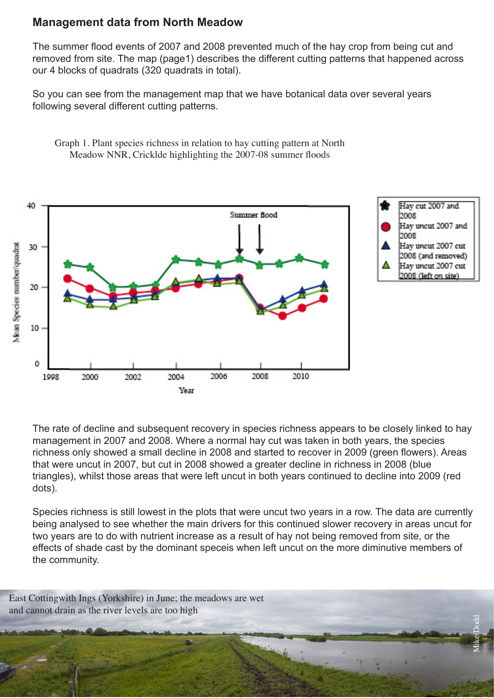## **Management data from North Meadow**

The summer flood events of 2007 and 2008 prevented much of the hay crop from being cut and removed from site. The map (page1) describes the different cutting patterns that happened across our 4 blocks of quadrats (320 quadrats in total).

So you can see from the management map that we have botanical data over several years following several different cutting patterns.

Graph 1. Plant species richness in relation to hay cutting pattern at North Meadow NNR, Cricklde highlighting the 2007-08 summer floods



The rate of decline and subsequent recovery in species richness appears to be closely linked to hay management in 2007 and 2008. Where a normal hay cut was taken in both years, the species richness only showed a small decline in 2008 and started to recover in 2009 (green flowers). Areas that were uncut in 2007, but cut in 2008 showed a greater decline in richness in 2008 (blue triangles), whilst those areas that were left uncut in both years continued to decline into 2009 (red dots).

Species richness is still lowest in the plots that were uncut two years in a row. The data are currently being analysed to see whether the main drivers for this continued slower recovery in areas uncut for two years are to do with nutrient increase as a result of hay not being removed from site, or the effects of shade cast by the dominant speceis when left uncut on the more diminutive members of the community.

Mike Dodd

East Cottingwith Ings (Yorkshire) in June; the meadows are wet and cannot drain as the river levels are too high